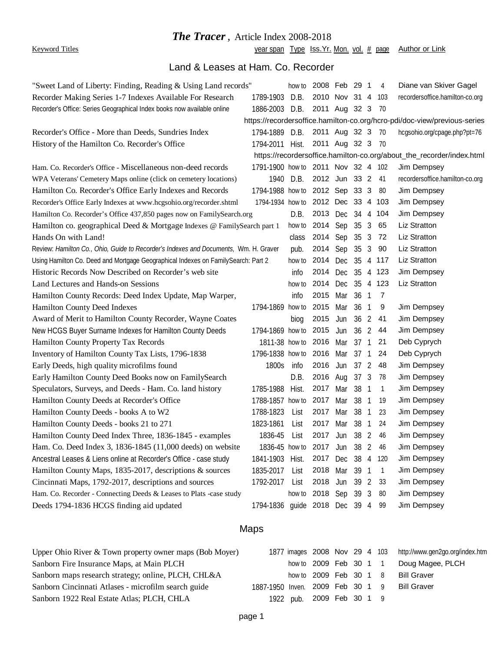## *The Tracer,* Article Index 2008-2018

Keyword Titles **Subset Contains the Veam Span Type Iss.Yr.** Mon. vol. # page Author or Link

# Land & Leases at Ham. Co. Recorder

| "Sweet Land of Liberty: Finding, Reading & Using Land records"                       |                                | how to                                                                | 2008 Feb 29 1   |     |      |                | 4            | Diane van Skiver Gagel          |  |
|--------------------------------------------------------------------------------------|--------------------------------|-----------------------------------------------------------------------|-----------------|-----|------|----------------|--------------|---------------------------------|--|
| Recorder Making Series 1-7 Indexes Available For Research                            | 1789-1903                      | D.B.                                                                  | 2010 Nov 31 4   |     |      |                | 103          | recordersoffice.hamilton-co.org |  |
| Recorder's Office: Series Geographical Index books now available online              | 1886-2003 D.B.                 |                                                                       | 2011 Aug 32 3   |     |      |                | 70           |                                 |  |
| https://recordersoffice.hamilton-co.org/hcro-pdi/doc-view/previous-series            |                                |                                                                       |                 |     |      |                |              |                                 |  |
| Recorder's Office - More than Deeds, Sundries Index                                  | 1794-1889                      | D.B.                                                                  | 2011 Aug 32 3   |     |      |                | 70           | hcgsohio.org/cpage.php?pt=76    |  |
| History of the Hamilton Co. Recorder's Office                                        | 1794-2011                      | Hist.                                                                 | 2011 Aug 32 3   |     |      |                | 70           |                                 |  |
|                                                                                      |                                | https://recordersoffice.hamilton-co.org/about_the_recorder/index.html |                 |     |      |                |              |                                 |  |
| Ham. Co. Recorder's Office - Miscellaneous non-deed records                          | 1791-1900 how to 2011 Nov 32 4 |                                                                       |                 |     |      |                | 102          | Jim Dempsey                     |  |
| WPA Veterans' Cemetery Maps online (click on cemetery locations)                     | 1940                           | D.B.                                                                  | 2012 Jun 33 2   |     |      |                | 41           | recordersoffice.hamilton-co.org |  |
| Hamilton Co. Recorder's Office Early Indexes and Records                             | 1794-1988 how to 2012 Sep 33 3 |                                                                       |                 |     |      |                | 80           | Jim Dempsey                     |  |
| Recorder's Office Early Indexes at www.hcgsohio.org/recorder.shtml                   | 1794-1934 how to 2012 Dec 33 4 |                                                                       |                 |     |      |                | -103         | Jim Dempsey                     |  |
| Hamilton Co. Recorder's Office 437,850 pages now on FamilySearch.org                 |                                | D.B.                                                                  | 2013 Dec 34 4   |     |      |                | 104          | Jim Dempsey                     |  |
| Hamilton co. geographical Deed & Mortgage Indexes @ FamilySearch part 1              |                                |                                                                       | how to 2014 Sep |     | 35   | 3              | 65           | Liz Stratton                    |  |
| Hands On with Land!                                                                  |                                | class                                                                 | 2014 Sep        |     | 35   | 3              | 72           | Liz Stratton                    |  |
| Review: Hamilton Co., Ohio, Guide to Recorder's Indexes and Documents, Wm. H. Graver |                                | pub.                                                                  | 2014 Sep        |     | 35   | $\mathbf{3}$   | 90           | Liz Stratton                    |  |
| Using Hamilton Co. Deed and Mortgage Geographical Indexes on FamilySearch: Part 2    |                                | how to                                                                | 2014            | Dec | 35   | 4              | 117          | Liz Stratton                    |  |
| Historic Records Now Described on Recorder's web site                                |                                | info                                                                  | 2014 Dec        |     | 35   | $\overline{4}$ | 123          | Jim Dempsey                     |  |
| Land Lectures and Hands-on Sessions                                                  |                                | how to                                                                | 2014 Dec 35     |     |      |                | 4 123        | Liz Stratton                    |  |
| Hamilton County Records: Deed Index Update, Map Warper,                              |                                | info                                                                  | 2015            | Mar | 36   | $\sqrt{1}$     | 7            |                                 |  |
| Hamilton County Deed Indexes                                                         | 1794-1869 how to               |                                                                       | 2015            | Mar | 36   | -1             | 9            | Jim Dempsey                     |  |
| Award of Merit to Hamilton County Recorder, Wayne Coates                             |                                | biog                                                                  | 2015            | Jun | 36   | 2              | 41           | Jim Dempsey                     |  |
| New HCGS Buyer Surname Indexes for Hamilton County Deeds                             | 1794-1869 how to 2015          |                                                                       |                 | Jun | 36   | 2              | 44           | Jim Dempsey                     |  |
| Hamilton County Property Tax Records                                                 | 1811-38 how to 2016 Mar        |                                                                       |                 |     | 37   | $\overline{1}$ | 21           | Deb Cyprych                     |  |
| Inventory of Hamilton County Tax Lists, 1796-1838                                    | 1796-1838 how to 2016          |                                                                       |                 | Mar | 37 1 |                | 24           | Deb Cyprych                     |  |
| Early Deeds, high quality microfilms found                                           | 1800s                          | info                                                                  | 2016            | Jun | 37   | 2              | 48           | Jim Dempsey                     |  |
| Early Hamilton County Deed Books now on FamilySearch                                 |                                | D.B.                                                                  | 2016            | Aug | 37 3 |                | 78           | Jim Dempsey                     |  |
| Speculators, Surveys, and Deeds - Ham. Co. land history                              | 1785-1988                      | Hist.                                                                 | 2017            | Mar | 38   | -1             | 1            | Jim Dempsey                     |  |
| Hamilton County Deeds at Recorder's Office                                           | 1788-1857 how to               |                                                                       | 2017            | Mar | 38   | -1             | 19           | Jim Dempsey                     |  |
| Hamilton County Deeds - books A to W2                                                | 1788-1823                      | List                                                                  | 2017            | Mar | 38   | $\overline{1}$ | 23           | Jim Dempsey                     |  |
| Hamilton County Deeds - books 21 to 271                                              | 1823-1861                      | List                                                                  | 2017            | Mar | 38   | -1             | 24           | Jim Dempsey                     |  |
| Hamilton County Deed Index Three, 1836-1845 - examples                               | 1836-45                        | List                                                                  | 2017            | Jun | 38   | $\overline{2}$ | 46           | Jim Dempsey                     |  |
| Ham. Co. Deed Index 3, 1836-1845 (11,000 deeds) on website                           | 1836-45 how to 2017 Jun 38 2   |                                                                       |                 |     |      |                | 46           | Jim Dempsev                     |  |
| Ancestral Leases & Liens online at Recorder's Office - case study                    | 1841-1903 Hist.                |                                                                       | 2017 Dec 38 4   |     |      |                | 120          | Jim Dempsey                     |  |
| Hamilton County Maps, 1835-2017, descriptions & sources                              | 1835-2017                      | List                                                                  | 2018 Mar 39 1   |     |      |                | $\mathbf{1}$ | Jim Dempsey                     |  |
| Cincinnati Maps, 1792-2017, descriptions and sources                                 | 1792-2017                      | List                                                                  | 2018 Jun 39 2   |     |      |                | 33           | Jim Dempsey                     |  |
| Ham. Co. Recorder - Connecting Deeds & Leases to Plats -case study                   |                                | how to 2018 Sep 39 3                                                  |                 |     |      |                | 80           | Jim Dempsey                     |  |
| Deeds 1794-1836 HCGS finding aid updated                                             | 1794-1836 guide 2018 Dec 39 4  |                                                                       |                 |     |      |                | 99           | Jim Dempsey                     |  |

## Maps

| Upper Ohio River & Town property owner maps (Bob Moyer) |                                  |                           |  |  | 1877 images 2008 Nov 29 4 103 http://www.gen2go.org/index.htm |
|---------------------------------------------------------|----------------------------------|---------------------------|--|--|---------------------------------------------------------------|
| Sanborn Fire Insurance Maps, at Main PLCH               |                                  | how to 2009 Feb 30 1 1    |  |  | Doug Magee, PLCH                                              |
| Sanborn maps research strategy; online, PLCH, CHL&A     |                                  | how to 2009 Feb 30 1 8    |  |  | <b>Bill Graver</b>                                            |
| Sanborn Cincinnati Atlases - microfilm search guide     | 1887-1950 Inven. 2009 Feb 30 1 9 |                           |  |  | <b>Bill Graver</b>                                            |
| Sanborn 1922 Real Estate Atlas; PLCH, CHLA              |                                  | 1922 pub. 2009 Feb 30 1 9 |  |  |                                                               |